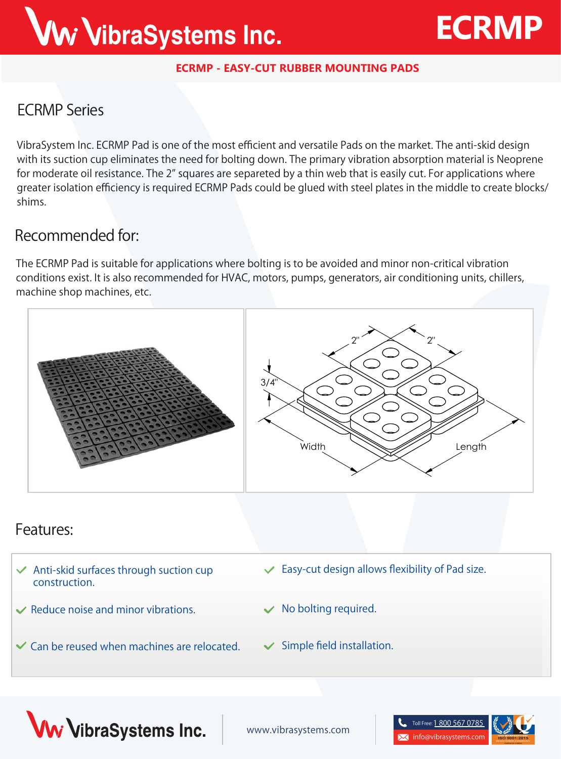# Ww VibraSystems Inc.

# **ECRMP**

#### **ECRMP - EASY-CUT RUBBER MOUNTING PADS**

### **ECRMP Series**

VibraSystem Inc. ECRMP Pad is one of the most efficient and versatile Pads on the market. The anti-skid design with its suction cup eliminates the need for bolting down. The primary vibration absorption material is Neoprene for moderate oil resistance. The 2" squares are separeted by a thin web that is easily cut. For applications where greater isolation efficiency is required ECRMP Pads could be glued with steel plates in the middle to create blocks/ shims.

#### **Recommended for:**

The ECRMP Pad is suitable for applications where bolting is to be avoided and minor non-critical vibration conditions exist. It is also recommended for HVAC, motors, pumps, generators, air conditioning units, chillers, machine shop machines, etc.



#### **Features:**

- **Anti-skid surfaces through suction cup construction.**
- **Reduce noise and minor vibrations.**
- $\checkmark$  Can be reused when machines are relocated.  $\checkmark$  Simple field installation.
- **Easy-cut design allows flexibility of Pad size.**
- **No bolting required.**
	-